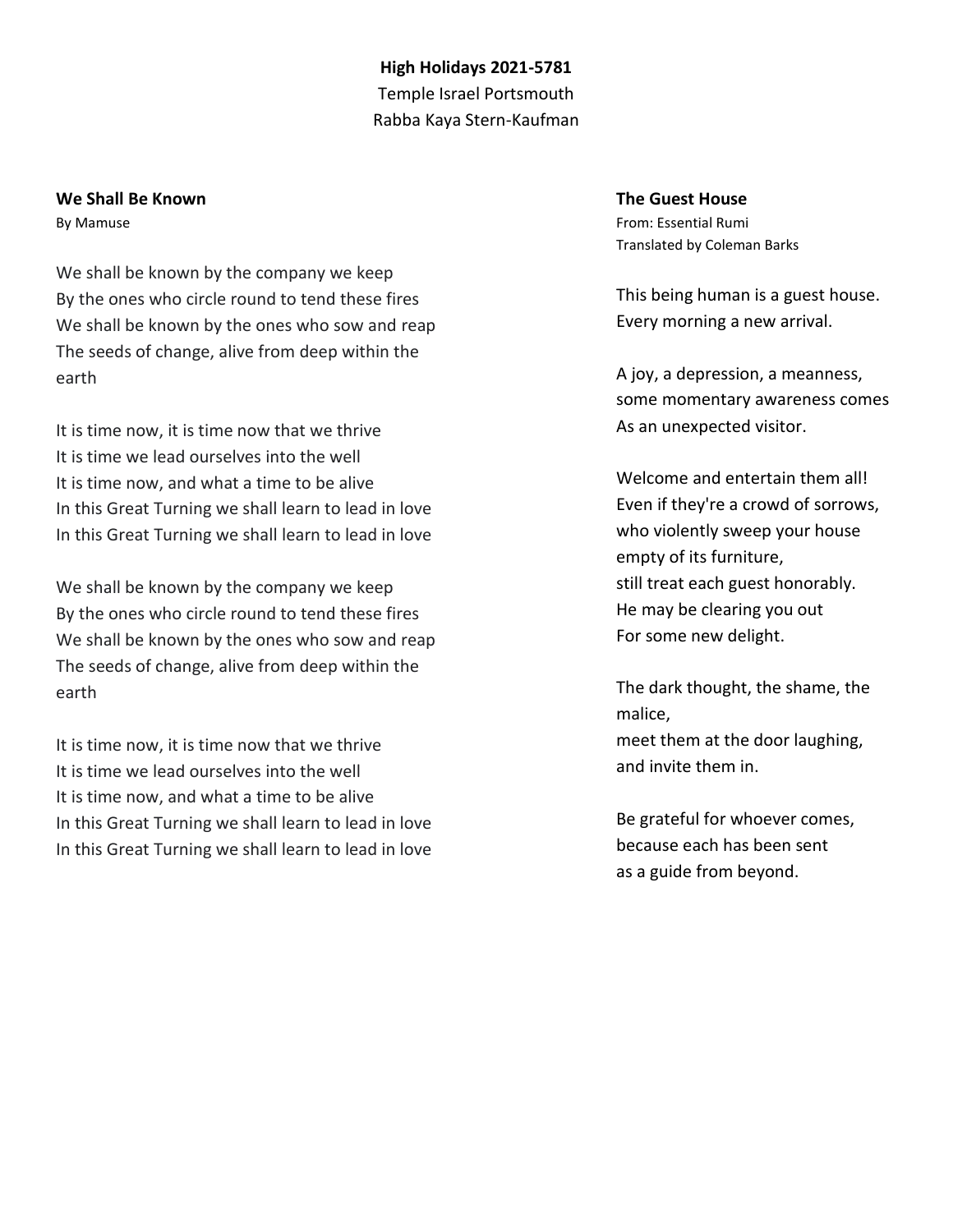## **High Holidays 2021-5781** Temple Israel Portsmouth Rabba Kaya Stern-Kaufman

## **We Shall Be Known**

By Mamuse

We shall be known by the company we keep By the ones who circle round to tend these fires We shall be known by the ones who sow and reap The seeds of change, alive from deep within the earth

It is time now, it is time now that we thrive It is time we lead ourselves into the well It is time now, and what a time to be alive In this Great Turning we shall learn to lead in love In this Great Turning we shall learn to lead in love

We shall be known by the company we keep By the ones who circle round to tend these fires We shall be known by the ones who sow and reap The seeds of change, alive from deep within the earth

It is time now, it is time now that we thrive It is time we lead ourselves into the well It is time now, and what a time to be alive In this Great Turning we shall learn to lead in love In this Great Turning we shall learn to lead in love

## **The Guest House**

From: Essential Rumi Translated by Coleman Barks

This being human is a guest house. Every morning a new arrival.

A joy, a depression, a meanness, some momentary awareness comes As an unexpected visitor.

Welcome and entertain them all! Even if they're a crowd of sorrows, who violently sweep your house empty of its furniture, still treat each guest honorably. He may be clearing you out For some new delight.

The dark thought, the shame, the malice,

meet them at the door laughing, and invite them in.

Be grateful for whoever comes, because each has been sent as a guide from beyond.